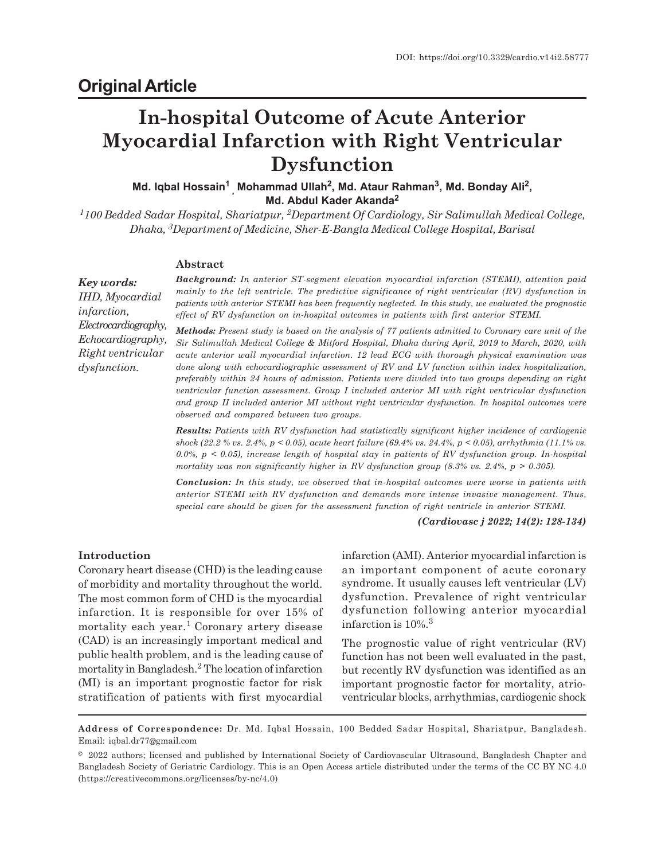# **Original Article**

# **In-hospital Outcome of Acute Anterior Myocardial Infarction with Right Ventricular Dysfunction**

**Md. Iqbal Hossain<sup>1</sup> , Mohammad Ullah<sup>2</sup> , Md. Ataur Rahman<sup>3</sup> , Md. Bonday Ali<sup>2</sup> , Md. Abdul Kader Akanda<sup>2</sup>**

*<sup>1</sup>100 Bedded Sadar Hospital, Shariatpur, 2Department Of Cardiology, Sir Salimullah Medical College, Dhaka, 3Department of Medicine, Sher-E-Bangla Medical College Hospital, Barisal*

# **Abstract**

*Key words: IHD, Myocardial infarction, Electrocardiography, Echocardiography, Right ventricular dysfunction.*

*Background: In anterior ST-segment elevation myocardial infarction (STEMI), attention paid mainly to the left ventricle. The predictive significance of right ventricular (RV) dysfunction in patients with anterior STEMI has been frequently neglected. In this study, we evaluated the prognostic effect of RV dysfunction on in-hospital outcomes in patients with first anterior STEMI.*

*Methods: Present study is based on the analysis of 77 patients admitted to Coronary care unit of the Sir Salimullah Medical College & Mitford Hospital, Dhaka during April, 2019 to March, 2020, with acute anterior wall myocardial infarction. 12 lead ECG with thorough physical examination was done along with echocardiographic assessment of RV and LV function within index hospitalization, preferably within 24 hours of admission. Patients were divided into two groups depending on right ventricular function assessment. Group I included anterior MI with right ventricular dysfunction and group II included anterior MI without right ventricular dysfunction. In hospital outcomes were observed and compared between two groups.*

*Results: Patients with RV dysfunction had statistically significant higher incidence of cardiogenic shock (22.2 % vs. 2.4%, p < 0.05), acute heart failure (69.4% vs. 24.4%, p < 0.05), arrhythmia (11.1% vs. 0.0%, p < 0.05), increase length of hospital stay in patients of RV dysfunction group. In-hospital mortality was non significantly higher in RV dysfunction group (8.3% vs. 2.4%, p > 0.305).*

*Conclusion: In this study, we observed that in-hospital outcomes were worse in patients with anterior STEMI with RV dysfunction and demands more intense invasive management. Thus, special care should be given for the assessment function of right ventricle in anterior STEMI.*

*(Cardiovasc j 2022; 14(2): 128-134)*

#### **Introduction**

Coronary heart disease (CHD) is the leading cause of morbidity and mortality throughout the world. The most common form of CHD is the myocardial infarction. It is responsible for over 15% of mortality each year. <sup>1</sup>Coronary artery disease (CAD) is an increasingly important medical and public health problem, and is the leading cause of mortality in Bangladesh. <sup>2</sup> The location of infarction (MI) is an important prognostic factor for risk stratification of patients with first myocardial

infarction (AMI). Anterior myocardial infarction is an important component of acute coronary syndrome. It usually causes left ventricular (LV) dysfunction. Prevalence of right ventricular dysfunction following anterior myocardial infarction is 10%.<sup>3</sup>

The prognostic value of right ventricular (RV) function has not been well evaluated in the past, but recently RV dysfunction was identified as an important prognostic factor for mortality, atrioventricular blocks, arrhythmias, cardiogenic shock

**Address of Correspondence:** Dr. Md. Iqbal Hossain, 100 Bedded Sadar Hospital, Shariatpur, Bangladesh. Email: iqbal.dr77@gmail.com

<sup>© 2022</sup> authors; licensed and published by International Society of Cardiovascular Ultrasound, Bangladesh Chapter and Bangladesh Society of Geriatric Cardiology. This is an Open Access article distributed under the terms of the CC BY NC 4.0 (https://creativecommons.org/licenses/by-nc/4.0)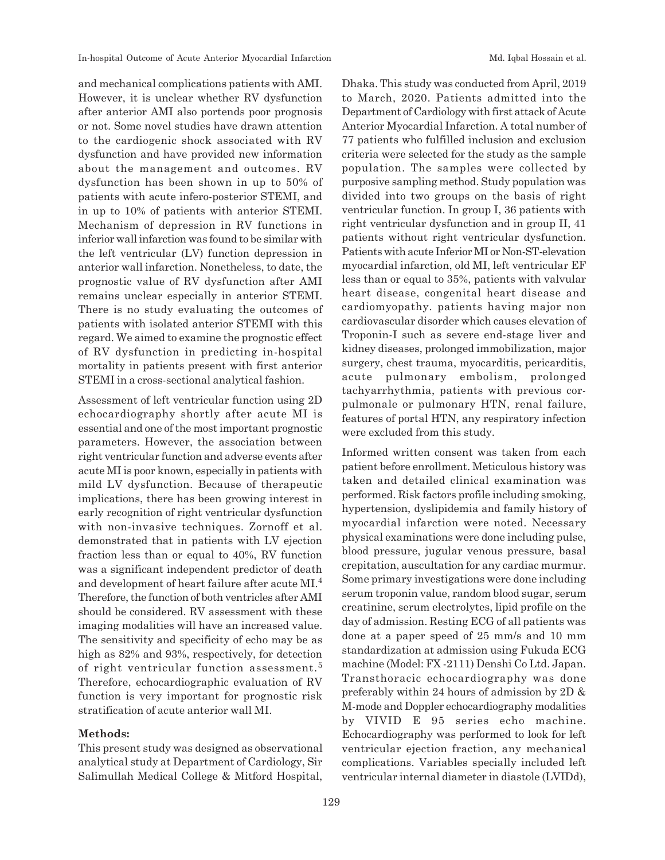and mechanical complications patients with AMI. However, it is unclear whether RV dysfunction after anterior AMI also portends poor prognosis or not. Some novel studies have drawn attention to the cardiogenic shock associated with RV dysfunction and have provided new information about the management and outcomes. RV dysfunction has been shown in up to 50% of patients with acute infero-posterior STEMI, and in up to 10% of patients with anterior STEMI. Mechanism of depression in RV functions in inferior wall infarction was found to be similar with the left ventricular (LV) function depression in anterior wall infarction. Nonetheless, to date, the prognostic value of RV dysfunction after AMI remains unclear especially in anterior STEMI. There is no study evaluating the outcomes of patients with isolated anterior STEMI with this regard. We aimed to examine the prognostic effect of RV dysfunction in predicting in-hospital mortality in patients present with first anterior STEMI in a cross-sectional analytical fashion.

Assessment of left ventricular function using 2D echocardiography shortly after acute MI is essential and one of the most important prognostic parameters. However, the association between right ventricular function and adverse events after acute MI is poor known, especially in patients with mild LV dysfunction. Because of therapeutic implications, there has been growing interest in early recognition of right ventricular dysfunction with non-invasive techniques. Zornoff et al. demonstrated that in patients with LV ejection fraction less than or equal to 40%, RV function was a significant independent predictor of death and development of heart failure after acute MI. 4 Therefore, the function of both ventricles after AMI should be considered. RV assessment with these imaging modalities will have an increased value. The sensitivity and specificity of echo may be as high as 82% and 93%, respectively, for detection of right ventricular function assessment. 5 Therefore, echocardiographic evaluation of RV function is very important for prognostic risk stratification of acute anterior wall MI.

# **Methods:**

This present study was designed as observational analytical study at Department of Cardiology, Sir Salimullah Medical College & Mitford Hospital,

Dhaka. This study was conducted from April, 2019 to March, 2020. Patients admitted into the Department of Cardiology with first attack of Acute Anterior Myocardial Infarction. A total number of 77 patients who fulfilled inclusion and exclusion criteria were selected for the study as the sample population. The samples were collected by purposive sampling method. Study population was divided into two groups on the basis of right ventricular function. In group I, 36 patients with right ventricular dysfunction and in group II, 41 patients without right ventricular dysfunction. Patients with acute Inferior MI or Non-ST-elevation myocardial infarction, old MI, left ventricular EF less than or equal to 35%, patients with valvular heart disease, congenital heart disease and cardiomyopathy. patients having major non cardiovascular disorder which causes elevation of Troponin-I such as severe end-stage liver and kidney diseases, prolonged immobilization, major surgery, chest trauma, myocarditis, pericarditis, acute pulmonary embolism, prolonged tachyarrhythmia, patients with previous corpulmonale or pulmonary HTN, renal failure, features of portal HTN, any respiratory infection were excluded from this study.

Informed written consent was taken from each patient before enrollment. Meticulous history was taken and detailed clinical examination was performed. Risk factors profile including smoking, hypertension, dyslipidemia and family history of myocardial infarction were noted. Necessary physical examinations were done including pulse, blood pressure, jugular venous pressure, basal crepitation, auscultation for any cardiac murmur. Some primary investigations were done including serum troponin value, random blood sugar, serum creatinine, serum electrolytes, lipid profile on the day of admission. Resting ECG of all patients was done at a paper speed of 25 mm/s and 10 mm standardization at admission using Fukuda ECG machine (Model: FX -2111) Denshi Co Ltd. Japan. Transthoracic echocardiography was done preferably within 24 hours of admission by 2D & M-mode and Doppler echocardiography modalities by VIVID E 95 series echo machine. Echocardiography was performed to look for left ventricular ejection fraction, any mechanical complications. Variables specially included left ventricular internal diameter in diastole (LVIDd),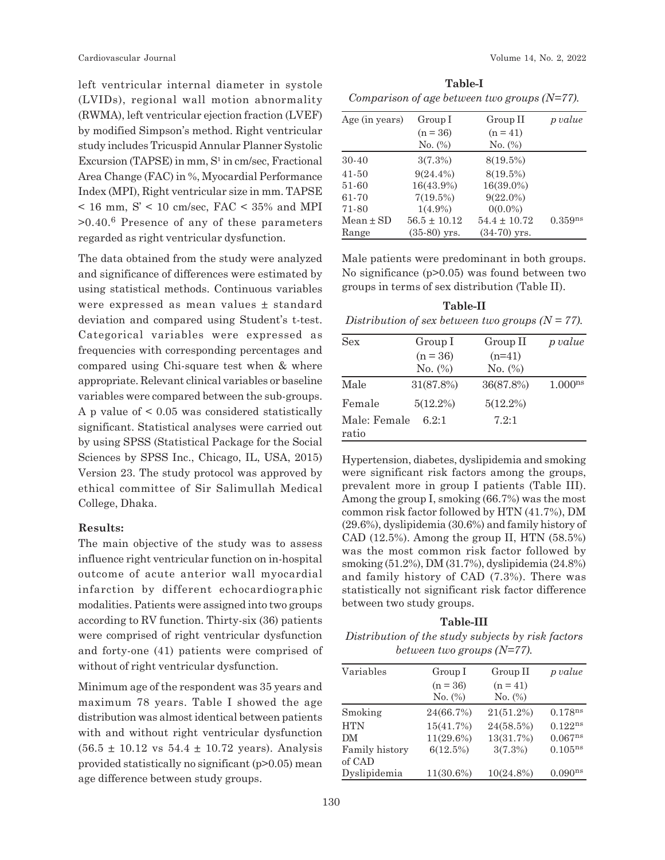left ventricular internal diameter in systole (LVIDs), regional wall motion abnormality (RWMA), left ventricular ejection fraction (LVEF) by modified Simpson's method. Right ventricular study includes Tricuspid Annular Planner Systolic Excursion (TAPSE) in mm,  $S<sup>1</sup>$  in cm/sec, Fractional Area Change (FAC) in %, Myocardial Performance Index (MPI), Right ventricular size in mm. TAPSE  $<$  16 mm, S'  $<$  10 cm/sec, FAC  $<$  35% and MPI >0.40.<sup>6</sup> Presence of any of these parameters regarded as right ventricular dysfunction.

The data obtained from the study were analyzed and significance of differences were estimated by using statistical methods. Continuous variables were expressed as mean values ± standard deviation and compared using Student's t-test. Categorical variables were expressed as frequencies with corresponding percentages and compared using Chi-square test when & where appropriate. Relevant clinical variables or baseline variables were compared between the sub-groups. A p value of < 0.05 was considered statistically significant. Statistical analyses were carried out by using SPSS (Statistical Package for the Social Sciences by SPSS Inc., Chicago, IL, USA, 2015) Version 23. The study protocol was approved by ethical committee of Sir Salimullah Medical College, Dhaka.

#### **Results:**

The main objective of the study was to assess influence right ventricular function on in-hospital outcome of acute anterior wall myocardial infarction by different echocardiographic modalities. Patients were assigned into two groups according to RV function. Thirty-six (36) patients were comprised of right ventricular dysfunction and forty-one (41) patients were comprised of without of right ventricular dysfunction.

Minimum age of the respondent was 35 years and maximum 78 years. Table I showed the age distribution was almost identical between patients with and without right ventricular dysfunction  $(56.5 \pm 10.12 \text{ vs } 54.4 \pm 10.72 \text{ years})$ . Analysis provided statistically no significant (p>0.05) mean age difference between study groups.

**Table-I** *Comparison of age between two groups (N=77).*

| Age (in years) | Group I          | Group II         | p value      |
|----------------|------------------|------------------|--------------|
|                | $(n = 36)$       | $(n = 41)$       |              |
|                | $No.$ (%)        | No. (%)          |              |
| $30 - 40$      | $3(7.3\%)$       | $8(19.5\%)$      |              |
| $41 - 50$      | $9(24.4\%)$      | $8(19.5\%)$      |              |
| 51-60          | $16(43.9\%)$     | 16(39.0%)        |              |
| 61-70          | 7(19.5%)         | $9(22.0\%)$      |              |
| 71-80          | $1(4.9\%)$       | $0(0.0\%)$       |              |
| $Mean \pm SD$  | $56.5 \pm 10.12$ | $54.4 \pm 10.72$ | $0.359^{ns}$ |
| Range          | $(35-80)$ yrs.   | $(34-70)$ yrs.   |              |

Male patients were predominant in both groups. No significance (p>0.05) was found between two groups in terms of sex distribution (Table II).

**Table-II** *Distribution of sex between two groups (N = 77).*

| <b>Sex</b>   | Group I     | Group II    | p value             |  |
|--------------|-------------|-------------|---------------------|--|
|              | $(n = 36)$  | $(n=41)$    |                     |  |
|              | No. $(\%)$  | No. $(\%)$  |                     |  |
| Male         | 31(87.8%)   | 36(87.8%)   | 1.000 <sup>ns</sup> |  |
| Female       | $5(12.2\%)$ | $5(12.2\%)$ |                     |  |
| Male: Female | 6.2:1       | 7.2:1       |                     |  |
| ratio        |             |             |                     |  |

Hypertension, diabetes, dyslipidemia and smoking were significant risk factors among the groups, prevalent more in group I patients (Table III). Among the group I, smoking (66.7%) was the most common risk factor followed by HTN (41.7%), DM (29.6%), dyslipidemia (30.6%) and family history of CAD  $(12.5\%)$ . Among the group II, HTN  $(58.5\%)$ was the most common risk factor followed by smoking (51.2%), DM (31.7%), dyslipidemia (24.8%) and family history of CAD (7.3%). There was statistically not significant risk factor difference between two study groups.

**Table-III** *Distribution of the study subjects by risk factors between two groups (N=77).*

| Variables      | Group I    | Group II     | p value             |
|----------------|------------|--------------|---------------------|
|                | $(n = 36)$ | $(n = 41)$   |                     |
|                | No. (%)    | No. (%)      |                     |
| Smoking        | 24(66.7%)  | $21(51.2\%)$ | $0.178^{ns}$        |
| <b>HTN</b>     | 15(41.7%)  | 24(58.5%)    | $0.122^{ns}$        |
| DМ             | 11(29.6%)  | 13(31.7%)    | $0.067^{ns}$        |
| Family history | 6(12.5%)   | 3(7.3%)      | $0.105^{\rm ns}$    |
| of CAD         |            |              |                     |
| Dyslipidemia   | 11(30.6%)  | $10(24.8\%)$ | 0.090 <sup>ns</sup> |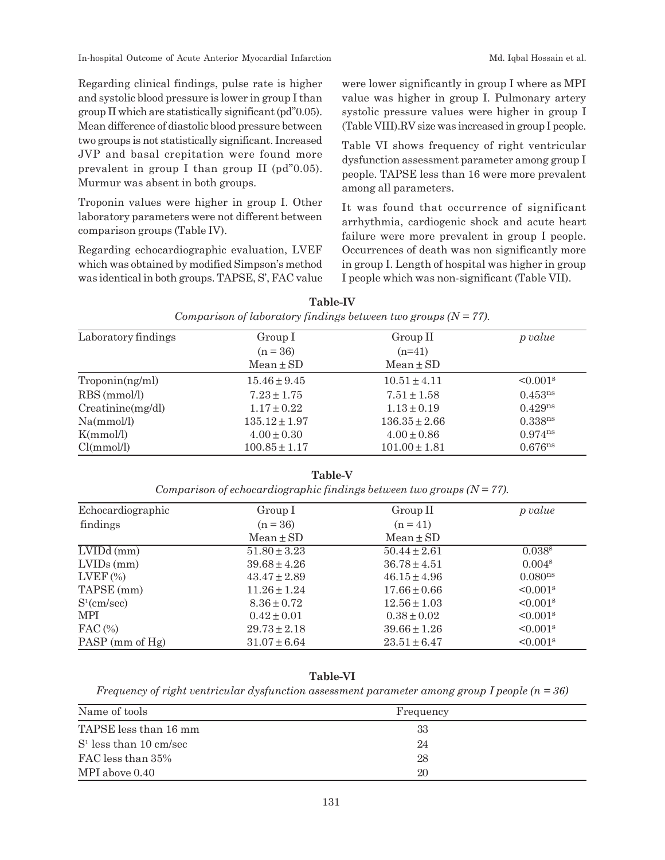In-hospital Outcome of Acute Anterior Myocardial Infarction Music Md. Iqbal Hossain et al.

Regarding clinical findings, pulse rate is higher and systolic blood pressure is lower in group I than group II which are statistically significant (pd"0.05). Mean difference of diastolic blood pressure between two groups is not statistically significant. Increased JVP and basal crepitation were found more prevalent in group I than group II (pd"0.05). Murmur was absent in both groups.

Troponin values were higher in group I. Other laboratory parameters were not different between comparison groups (Table IV).

Regarding echocardiographic evaluation, LVEF which was obtained by modified Simpson's method was identical in both groups. TAPSE, S', FAC value were lower significantly in group I where as MPI value was higher in group I. Pulmonary artery systolic pressure values were higher in group I (Table VIII).RV size was increased in group I people.

Table VI shows frequency of right ventricular dysfunction assessment parameter among group I people. TAPSE less than 16 were more prevalent among all parameters.

It was found that occurrence of significant arrhythmia, cardiogenic shock and acute heart failure were more prevalent in group I people. Occurrences of death was non significantly more in group I. Length of hospital was higher in group I people which was non-significant (Table VII).

| Laboratory findings | Group I           | Group II          | p value                   |  |
|---------------------|-------------------|-------------------|---------------------------|--|
|                     | $(n = 36)$        | $(n=41)$          |                           |  |
|                     | $Mean \pm SD$     | $Mean \pm SD$     |                           |  |
| Troponin(ng/ml)     | $15.46 \pm 9.45$  | $10.51 \pm 4.11$  | $\leq 0.001$ <sup>s</sup> |  |
| RBS (mmol/l)        | $7.23 \pm 1.75$   | $7.51 \pm 1.58$   | $0.453^{ns}$              |  |
| Creating/dl)        | $1.17 \pm 0.22$   | $1.13 \pm 0.19$   | $0.429^{ns}$              |  |
| Na(mmol/l)          | $135.12 \pm 1.97$ | $136.35 \pm 2.66$ | 0.338 <sup>ns</sup>       |  |
| K(mmol/l)           | $4.00 \pm 0.30$   | $4.00 \pm 0.86$   | $0.974^{ns}$              |  |
| Cl(mmol/l)          | $100.85 \pm 1.17$ | $101.00 \pm 1.81$ | 0.676 <sup>ns</sup>       |  |

| <b>Table-IV</b>                                                   |  |  |  |  |
|-------------------------------------------------------------------|--|--|--|--|
| Comparison of laboratory findings between two groups $(N = 77)$ . |  |  |  |  |

**Table-V**

| Comparison of echocardiographic findings between two groups $(N = 77)$ . |  |  |  |  |
|--------------------------------------------------------------------------|--|--|--|--|
|                                                                          |  |  |  |  |

| Echocardiographic | Group I          | Group II         | p value                |
|-------------------|------------------|------------------|------------------------|
| findings          | $(n = 36)$       | $(n = 41)$       |                        |
|                   | $Mean \pm SD$    | $Mean \pm SD$    |                        |
| $LVIDd$ (mm)      | $51.80 \pm 3.23$ | $50.44 \pm 2.61$ | 0.038 <sup>s</sup>     |
| $LVIDs$ (mm)      | $39.68 \pm 4.26$ | $36.78 \pm 4.51$ | 0.004 <sup>s</sup>     |
| $LVEF$ $(\%)$     | $43.47 \pm 2.89$ | $46.15 \pm 4.96$ | 0.080 <sup>ns</sup>    |
| TAPSE (mm)        | $11.26 \pm 1.24$ | $17.66 \pm 0.66$ | $< 0.001$ <sup>s</sup> |
| $S^1$ (cm/sec)    | $8.36 \pm 0.72$  | $12.56 \pm 1.03$ | $< 0.001$ <sup>s</sup> |
| MPI               | $0.42 \pm 0.01$  | $0.38 \pm 0.02$  | $< 0.001$ <sup>s</sup> |
| $\text{FAC}$ (%)  | $29.73 \pm 2.18$ | $39.66 \pm 1.26$ | $< 0.001$ <sup>s</sup> |
| PASP (mm of Hg)   | $31.07 \pm 6.64$ | $23.51 \pm 6.47$ | $< 0.001$ <sup>s</sup> |

# **Table-VI**

*Frequency of right ventricular dysfunction assessment parameter among group I people (n = 36)*

| Name of tools            | Frequency |
|--------------------------|-----------|
| TAPSE less than 16 mm    | 33        |
| $S1$ less than 10 cm/sec | 24        |
| FAC less than 35%        | 28        |
| MPI above 0.40           | 20        |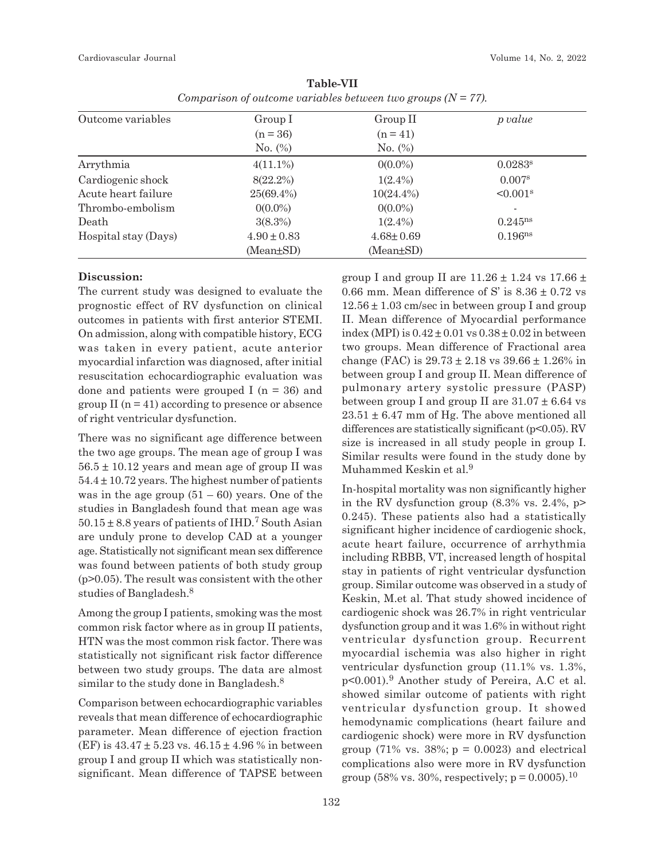Cardiovascular Journal Volume 14, No. 2, 2022

| Outcome variables    | Group I         | Group II        | p value                  |  |
|----------------------|-----------------|-----------------|--------------------------|--|
|                      | $(n = 36)$      | $(n = 41)$      |                          |  |
|                      | No. $(\%)$      | No. $(\%)$      |                          |  |
| Arrythmia            | $4(11.1\%)$     | $0(0.0\%)$      | $0.0283$ <sup>s</sup>    |  |
| Cardiogenic shock    | $8(22.2\%)$     | $1(2.4\%)$      | 0.007 <sup>s</sup>       |  |
| Acute heart failure  | $25(69.4\%)$    | $10(24.4\%)$    | $< 0.001$ <sup>s</sup>   |  |
| Thrombo-embolism     | $0(0.0\%)$      | $0(0.0\%)$      | $\overline{\phantom{a}}$ |  |
| Death                | $3(8.3\%)$      | $1(2.4\%)$      | $0.245^{ns}$             |  |
| Hospital stay (Days) | $4.90 \pm 0.83$ | $4.68 \pm 0.69$ | 0.196 <sup>ns</sup>      |  |
|                      | (Mean±SD)       | $(Mean \pm SD)$ |                          |  |

**Table-VII** *Comparison of outcome variables between two groups (N = 77).*

#### **Discussion:**

The current study was designed to evaluate the prognostic effect of RV dysfunction on clinical outcomes in patients with first anterior STEMI. On admission, along with compatible history, ECG was taken in every patient, acute anterior myocardial infarction was diagnosed, after initial resuscitation echocardiographic evaluation was done and patients were grouped I ( $n = 36$ ) and group II  $(n = 41)$  according to presence or absence of right ventricular dysfunction.

There was no significant age difference between the two age groups. The mean age of group I was  $56.5 \pm 10.12$  years and mean age of group II was  $54.4 \pm 10.72$  years. The highest number of patients was in the age group  $(51 - 60)$  years. One of the studies in Bangladesh found that mean age was  $50.15 \pm 8.8$  years of patients of IHD.<sup>7</sup> South Asian are unduly prone to develop CAD at a younger age. Statistically not significant mean sex difference was found between patients of both study group (p>0.05). The result was consistent with the other studies of Bangladesh.<sup>8</sup>

Among the group I patients, smoking was the most common risk factor where as in group II patients, HTN was the most common risk factor. There was statistically not significant risk factor difference between two study groups. The data are almost similar to the study done in Bangladesh.<sup>8</sup>

Comparison between echocardiographic variables reveals that mean difference of echocardiographic parameter. Mean difference of ejection fraction (EF) is 43.47 ± 5.23 vs. 46.15 ± 4.96 % in between group I and group II which was statistically nonsignificant. Mean difference of TAPSE between group I and group II are  $11.26 \pm 1.24$  vs  $17.66 \pm 1.24$ 0.66 mm. Mean difference of S' is  $8.36 \pm 0.72$  vs  $12.56 \pm 1.03$  cm/sec in between group I and group II. Mean difference of Myocardial performance index (MPI) is  $0.42 \pm 0.01$  vs  $0.38 \pm 0.02$  in between two groups. Mean difference of Fractional area change (FAC) is  $29.73 \pm 2.18$  vs  $39.66 \pm 1.26\%$  in between group I and group II. Mean difference of pulmonary artery systolic pressure (PASP) between group I and group II are  $31.07 \pm 6.64$  vs  $23.51 \pm 6.47$  mm of Hg. The above mentioned all differences are statistically significant ( $p<0.05$ ). RV size is increased in all study people in group I. Similar results were found in the study done by Muhammed Keskin et al.<sup>9</sup>

In-hospital mortality was non significantly higher in the RV dysfunction group  $(8.3\% \text{ vs. } 2.4\%, \text{ p}$ 0.245). These patients also had a statistically significant higher incidence of cardiogenic shock, acute heart failure, occurrence of arrhythmia including RBBB, VT, increased length of hospital stay in patients of right ventricular dysfunction group. Similar outcome was observed in a study of Keskin, M.et al. That study showed incidence of cardiogenic shock was 26.7% in right ventricular dysfunction group and it was 1.6% in without right ventricular dysfunction group. Recurrent myocardial ischemia was also higher in right ventricular dysfunction group (11.1% vs. 1.3%, p<0.001).<sup>9</sup> Another study of Pereira, A.C et al. showed similar outcome of patients with right ventricular dysfunction group. It showed hemodynamic complications (heart failure and cardiogenic shock) were more in RV dysfunction group (71% vs. 38%;  $p = 0.0023$ ) and electrical complications also were more in RV dysfunction group (58% vs. 30%, respectively;  $p = 0.0005$ ).<sup>10</sup>

132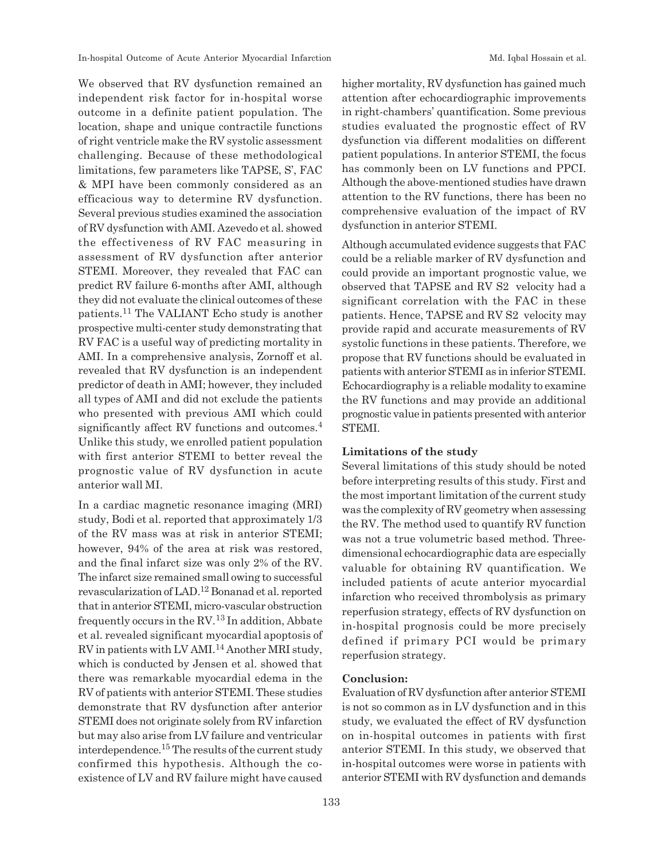We observed that RV dysfunction remained an independent risk factor for in-hospital worse outcome in a definite patient population. The location, shape and unique contractile functions of right ventricle make the RV systolic assessment challenging. Because of these methodological limitations, few parameters like TAPSE, S', FAC & MPI have been commonly considered as an efficacious way to determine RV dysfunction. Several previous studies examined the association of RV dysfunction with AMI. Azevedo et al. showed the effectiveness of RV FAC measuring in assessment of RV dysfunction after anterior STEMI. Moreover, they revealed that FAC can predict RV failure 6-months after AMI, although they did not evaluate the clinical outcomes of these patients.11 The VALIANT Echo study is another prospective multi-center study demonstrating that RV FAC is a useful way of predicting mortality in AMI. In a comprehensive analysis, Zornoff et al. revealed that RV dysfunction is an independent predictor of death in AMI; however, they included all types of AMI and did not exclude the patients who presented with previous AMI which could significantly affect RV functions and outcomes.<sup>4</sup> Unlike this study, we enrolled patient population with first anterior STEMI to better reveal the prognostic value of RV dysfunction in acute anterior wall MI.

In a cardiac magnetic resonance imaging (MRI) study, Bodi et al. reported that approximately 1/3 of the RV mass was at risk in anterior STEMI; however, 94% of the area at risk was restored, and the final infarct size was only 2% of the RV. The infarct size remained small owing to successful revascularization of LAD.12 Bonanad et al. reported that in anterior STEMI, micro-vascular obstruction frequently occurs in the  $RV<sup>13</sup>$  In addition, Abbate et al. revealed significant myocardial apoptosis of RV in patients with LV AMI.14 Another MRI study, which is conducted by Jensen et al. showed that there was remarkable myocardial edema in the RV of patients with anterior STEMI. These studies demonstrate that RV dysfunction after anterior STEMI does not originate solely from RV infarction but may also arise from LV failure and ventricular interdependence. <sup>15</sup> The results of the current study confirmed this hypothesis. Although the coexistence of LV and RV failure might have caused higher mortality, RV dysfunction has gained much attention after echocardiographic improvements in right-chambers' quantification. Some previous studies evaluated the prognostic effect of RV dysfunction via different modalities on different patient populations. In anterior STEMI, the focus has commonly been on LV functions and PPCI. Although the above-mentioned studies have drawn attention to the RV functions, there has been no comprehensive evaluation of the impact of RV dysfunction in anterior STEMI.

Although accumulated evidence suggests that FAC could be a reliable marker of RV dysfunction and could provide an important prognostic value, we observed that TAPSE and RV S2 velocity had a significant correlation with the FAC in these patients. Hence, TAPSE and RV S2 velocity may provide rapid and accurate measurements of RV systolic functions in these patients. Therefore, we propose that RV functions should be evaluated in patients with anterior STEMI as in inferior STEMI. Echocardiography is a reliable modality to examine the RV functions and may provide an additional prognostic value in patients presented with anterior STEMI.

#### **Limitations of the study**

Several limitations of this study should be noted before interpreting results of this study. First and the most important limitation of the current study was the complexity of RV geometry when assessing the RV. The method used to quantify RV function was not a true volumetric based method. Threedimensional echocardiographic data are especially valuable for obtaining RV quantification. We included patients of acute anterior myocardial infarction who received thrombolysis as primary reperfusion strategy, effects of RV dysfunction on in-hospital prognosis could be more precisely defined if primary PCI would be primary reperfusion strategy.

#### **Conclusion:**

Evaluation of RV dysfunction after anterior STEMI is not so common as in LV dysfunction and in this study, we evaluated the effect of RV dysfunction on in-hospital outcomes in patients with first anterior STEMI. In this study, we observed that in-hospital outcomes were worse in patients with anterior STEMI with RV dysfunction and demands